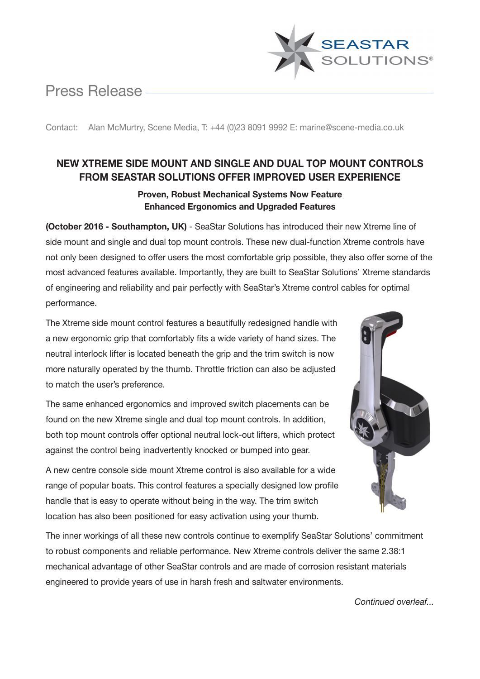# Press Release



Contact: Alan McMurtry, Scene Media, T: +44 (0)23 8091 9992 E: marine@scene-media.co.uk

# **NEW XTREME SIDE MOUNT AND SINGLE AND DUAL TOP MOUNT CONTROLS FROM SEASTAR SOLUTIONS OFFER IMPROVED USER EXPERIENCE**

## **Proven, Robust Mechanical Systems Now Feature Enhanced Ergonomics and Upgraded Features**

**(October 2016 - Southampton, UK)** - SeaStar Solutions has introduced their new Xtreme line of side mount and single and dual top mount controls. These new dual-function Xtreme controls have not only been designed to offer users the most comfortable grip possible, they also offer some of the most advanced features available. Importantly, they are built to SeaStar Solutions' Xtreme standards of engineering and reliability and pair perfectly with SeaStar's Xtreme control cables for optimal performance.

The Xtreme side mount control features a beautifully redesigned handle with a new ergonomic grip that comfortably fits a wide variety of hand sizes. The neutral interlock lifter is located beneath the grip and the trim switch is now more naturally operated by the thumb. Throttle friction can also be adjusted to match the user's preference.

The same enhanced ergonomics and improved switch placements can be found on the new Xtreme single and dual top mount controls. In addition, both top mount controls offer optional neutral lock-out lifters, which protect against the control being inadvertently knocked or bumped into gear.

A new centre console side mount Xtreme control is also available for a wide range of popular boats. This control features a specially designed low profile handle that is easy to operate without being in the way. The trim switch location has also been positioned for easy activation using your thumb.



The inner workings of all these new controls continue to exemplify SeaStar Solutions' commitment to robust components and reliable performance. New Xtreme controls deliver the same 2.38:1 mechanical advantage of other SeaStar controls and are made of corrosion resistant materials engineered to provide years of use in harsh fresh and saltwater environments.

*Continued overleaf...*